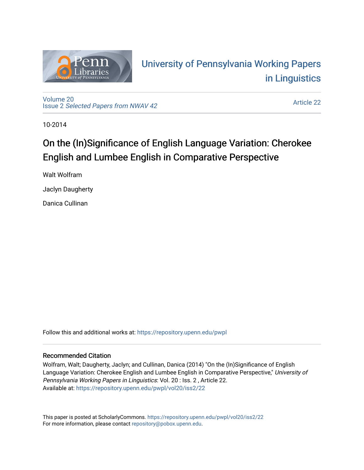

# University of P[ennsylvania Working P](https://repository.upenn.edu/pwpl)apers [in Linguistics](https://repository.upenn.edu/pwpl)

[Volume 20](https://repository.upenn.edu/pwpl/vol20) Issue 2 [Selected Papers from NWAV 42](https://repository.upenn.edu/pwpl/vol20/iss2) 

[Article 22](https://repository.upenn.edu/pwpl/vol20/iss2/22) 

10-2014

# On the (In)Significance of English Language Variation: Cherokee English and Lumbee English in Comparative Perspective

Walt Wolfram

Jaclyn Daugherty

Danica Cullinan

Follow this and additional works at: [https://repository.upenn.edu/pwpl](https://repository.upenn.edu/pwpl?utm_source=repository.upenn.edu%2Fpwpl%2Fvol20%2Fiss2%2F22&utm_medium=PDF&utm_campaign=PDFCoverPages) 

## Recommended Citation

Wolfram, Walt; Daugherty, Jaclyn; and Cullinan, Danica (2014) "On the (In)Significance of English Language Variation: Cherokee English and Lumbee English in Comparative Perspective," University of Pennsylvania Working Papers in Linguistics: Vol. 20 : Iss. 2 , Article 22. Available at: [https://repository.upenn.edu/pwpl/vol20/iss2/22](https://repository.upenn.edu/pwpl/vol20/iss2/22?utm_source=repository.upenn.edu%2Fpwpl%2Fvol20%2Fiss2%2F22&utm_medium=PDF&utm_campaign=PDFCoverPages)

This paper is posted at ScholarlyCommons.<https://repository.upenn.edu/pwpl/vol20/iss2/22> For more information, please contact [repository@pobox.upenn.edu.](mailto:repository@pobox.upenn.edu)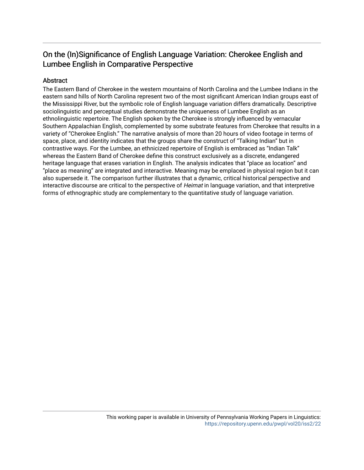# On the (In)Significance of English Language Variation: Cherokee English and Lumbee English in Comparative Perspective

# Abstract

The Eastern Band of Cherokee in the western mountains of North Carolina and the Lumbee Indians in the eastern sand hills of North Carolina represent two of the most significant American Indian groups east of the Mississippi River, but the symbolic role of English language variation differs dramatically. Descriptive sociolinguistic and perceptual studies demonstrate the uniqueness of Lumbee English as an ethnolinguistic repertoire. The English spoken by the Cherokee is strongly influenced by vernacular Southern Appalachian English, complemented by some substrate features from Cherokee that results in a variety of "Cherokee English." The narrative analysis of more than 20 hours of video footage in terms of space, place, and identity indicates that the groups share the construct of "Talking Indian" but in contrastive ways. For the Lumbee, an ethnicized repertoire of English is embraced as "Indian Talk" whereas the Eastern Band of Cherokee define this construct exclusively as a discrete, endangered heritage language that erases variation in English. The analysis indicates that "place as location" and "place as meaning" are integrated and interactive. Meaning may be emplaced in physical region but it can also supersede it. The comparison further illustrates that a dynamic, critical historical perspective and interactive discourse are critical to the perspective of Heimat in language variation, and that interpretive forms of ethnographic study are complementary to the quantitative study of language variation.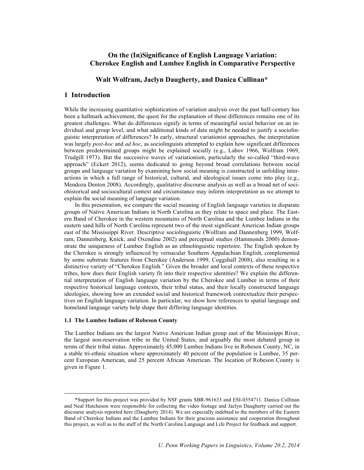### **On the (In)Significance of English Language Variation: Cherokee English and Lumbee English in Comparative Perspective**

#### **Walt Wolfram, Jaclyn Daugherty, and Danica Cullinan\***

#### **1 Introduction**

While the increasing quantitative sophistication of variation analysis over the past half-century has been a hallmark achievement, the quest for the explanation of these differences remains one of its greatest challenges. What do differences signify in terms of meaningful social behavior on an individual and group level, and what additional kinds of data might be needed to justify a sociolinguistic interpretation of differences? In early, structural variationist approaches, the interpretation was largely *post-hoc* and *ad hoc*, as sociolinguists attempted to explain how significant differences between predetermined groups might be explained socially (e.g., Labov 1966, Wolfram 1969, Trudgill 1973). But the successive waves of variationism, particularly the so-called "third-wave approach" (Eckert 2012), seems dedicated to going beyond broad correlations between social groups and language variation by examining how social meaning is constructed in unfolding interactions in which a full range of historical, cultural, and ideological issues come into play (e.g., Mendoza Denton 2008). Accordingly, qualitative discourse analysis as well as a broad net of sociohistorical and sociocultural context and circumstance may inform interpretation as we attempt to explain the social meaning of language variation.

In this presentation, we compare the social meaning of English language varieties in disparate groups of Native American Indians in North Carolina as they relate to space and place. The Eastern Band of Cherokee in the western mountains of North Carolina and the Lumbee Indians in the eastern sand hills of North Carolina represent two of the most significant American Indian groups east of the Mississippi River. Descriptive sociolinguistic (Wolfram and Dannenberg 1999, Wolfram, Dannenberg, Knick, and Oxendine 2002) and perceptual studies (Hammonds 2000) demonstrate the uniqueness of Lumbee English as an ethnolinguistic repertoire. The English spoken by the Cherokee is strongly influenced by vernacular Southern Appalachian English, complemented by some substrate features from Cherokee (Anderson 1999, Coggshall 2008), also resulting in a distinctive variety of "Cherokee English." Given the broader and local contexts of these respective tribes, how does their English variety fit into their respective identities? We explain the differential interpretation of English language variation by the Cherokee and Lumbee in terms of their respective historical language contexts, their tribal status, and their locally constructed language ideologies, showing how an extended social and historical framework contextualize their perspectives on English language variation. In particular, we show how references to spatial language and homeland language variety help shape their differing language identities.

#### **1.1 The Lumbee Indians of Robeson County**

The Lumbee Indians are the largest Native American Indian group east of the Mississippi River, the largest non-reservation tribe in the United States, and arguably the most debated group in terms of their tribal status. Approximately 45,000 Lumbee Indians live in Robeson County, NC, in a stable tri-ethnic situation where approximately 40 percent of the population is Lumbee, 35 percent European American, and 25 percent African American. The location of Robeson County is given in Figure 1.

 <sup>\*</sup>Support for this project was provided by NSF grants SBR-961633 and ESI-0354711. Danica Cullinan and Neal Hutcheson were responsible for collecting the video footage and Jaclyn Daugherty carried out the discourse analysis reported here (Daugherty 2014). We are especially indebted to the members of the Eastern Band of Cherokee Indians and the Lumbee Indians for their gracious assistance and cooperation throughout this project, as well as to the staff of the North Carolina Language and Life Project for feedback and support.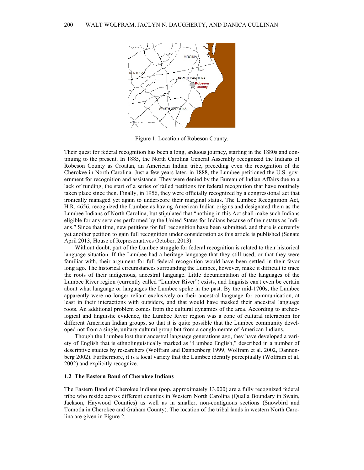

Figure 1. Location of Robeson County.

Their quest for federal recognition has been a long, arduous journey, starting in the 1880s and continuing to the present. In 1885, the North Carolina General Assembly recognized the Indians of Robeson County as Croatan, an American Indian tribe, preceding even the recognition of the Cherokee in North Carolina. Just a few years later, in 1888, the Lumbee petitioned the U.S. government for recognition and assistance. They were denied by the Bureau of Indian Affairs due to a lack of funding, the start of a series of failed petitions for federal recognition that have routinely taken place since then. Finally, in 1956, they were officially recognized by a congressional act that ironically managed yet again to underscore their marginal status. The Lumbee Recognition Act, H.R. 4656, recognized the Lumbee as having American Indian origins and designated them as the Lumbee Indians of North Carolina, but stipulated that "nothing in this Act shall make such Indians eligible for any services performed by the United States for Indians because of their status as Indians." Since that time, new petitions for full recognition have been submitted, and there is currently yet another petition to gain full recognition under consideration as this article is published (Senate April 2013, House of Representatives October, 2013).

Without doubt, part of the Lumbee struggle for federal recognition is related to their historical language situation. If the Lumbee had a heritage language that they still used, or that they were familiar with, their argument for full federal recognition would have been settled in their favor long ago. The historical circumstances surrounding the Lumbee, however, make it difficult to trace the roots of their indigenous, ancestral language. Little documentation of the languages of the Lumbee River region (currently called "Lumber River") exists, and linguists can't even be certain about what language or languages the Lumbee spoke in the past. By the mid-1700s, the Lumbee apparently were no longer reliant exclusively on their ancestral language for communication, at least in their interactions with outsiders, and that would have masked their ancestral language roots. An additional problem comes from the cultural dynamics of the area. According to archeological and linguistic evidence, the Lumbee River region was a zone of cultural interaction for different American Indian groups, so that it is quite possible that the Lumbee community developed not from a single, unitary cultural group but from a conglomerate of American Indians.

Though the Lumbee lost their ancestral language generations ago, they have developed a variety of English that is ethnolinguistically marked as "Lumbee English," described in a number of descriptive studies by researchers (Wolfram and Dannenberg 1999, Wolfram et al. 2002, Dannenberg 2002). Furthermore, it is a local variety that the Lumbee identify perceptually (Wolfram et al. 2002) and explicitly recognize.

#### **1.2 The Eastern Band of Cherokee Indians**

The Eastern Band of Cherokee Indians (pop. approximately 13,000) are a fully recognized federal tribe who reside across different counties in Western North Carolina (Qualla Boundary in Swain, Jackson, Haywood Counties) as well as in smaller, non-contiguous sections (Snowbird and Tomotla in Cherokee and Graham County). The location of the tribal lands in western North Carolina are given in Figure 2.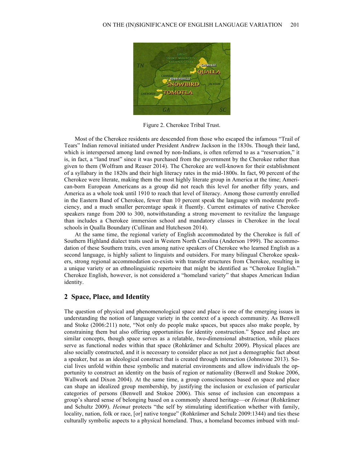

Figure 2. Cherokee Tribal Trust.

Most of the Cherokee residents are descended from those who escaped the infamous "Trail of Tears" Indian removal initiated under President Andrew Jackson in the 1830s. Though their land, which is interspersed among land owned by non-Indians, is often referred to as a "reservation," it is, in fact, a "land trust" since it was purchased from the government by the Cherokee rather than given to them (Wolfram and Reaser 2014). The Cherokee are well-known for their establishment of a syllabary in the 1820s and their high literacy rates in the mid-1800s. In fact, 90 percent of the Cherokee were literate, making them the most highly literate group in America at the time; American-born European Americans as a group did not reach this level for another fifty years, and America as a whole took until 1910 to reach that level of literacy. Among those currently enrolled in the Eastern Band of Cherokee, fewer than 10 percent speak the language with moderate proficiency, and a much smaller percentage speak it fluently. Current estimates of native Cherokee speakers range from 200 to 300, notwithstanding a strong movement to revitalize the language than includes a Cherokee immersion school and mandatory classes in Cherokee in the local schools in Qualla Boundary (Cullinan and Hutcheson 2014).

At the same time, the regional variety of English accommodated by the Cherokee is full of Southern Highland dialect traits used in Western North Carolina (Anderson 1999). The accommodation of these Southern traits, even among native speakers of Cherokee who learned English as a second language, is highly salient to linguists and outsiders. For many bilingual Cherokee speakers, strong regional accommodation co-exists with transfer structures from Cherokee, resulting in a unique variety or an ethnolinguistic repertoire that might be identified as "Cherokee English." Cherokee English, however, is not considered a "homeland variety" that shapes American Indian identity.

### **2 Space, Place, and Identity**

The question of physical and phenomenological space and place is one of the emerging issues in understanding the notion of language variety in the context of a speech community. As Benwell and Stoke (2006:211) note, "Not only do people make spaces, but spaces also make people, by constraining them but also offering opportunities for identity construction." Space and place are similar concepts, though space serves as a relatable, two-dimensional abstraction, while places serve as functional nodes within that space (Rohkrämer and Schultz 2009). Physical places are also socially constructed, and it is necessary to consider place as not just a demographic fact about a speaker, but as an ideological construct that is created through interaction (Johnstone 2013). Social lives unfold within these symbolic and material environments and allow individuals the opportunity to construct an identity on the basis of region or nationality (Benwell and Stokoe 2006, Wallwork and Dixon 2004). At the same time, a group consciousness based on space and place can shape an idealized group membership, by justifying the inclusion or exclusion of particular categories of persons (Benwell and Stokoe 2006). This sense of inclusion can encompass a group's shared sense of belonging based on a commonly shared heritage—or *Heimat* (Rohkrämer and Schultz 2009). *Heimat* protects "the self by stimulating identification whether with family, locality, nation, folk or race, [or] native tongue" (Rohkrämer and Schulz 2009:1344) and ties these culturally symbolic aspects to a physical homeland. Thus, a homeland becomes imbued with mul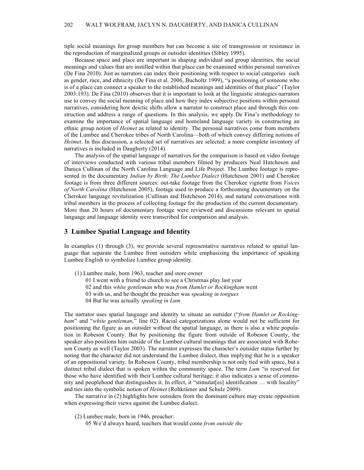tiple social meanings for group members but can become a site of transgression or resistance in the reproduction of marginalized groups or outsider identities (Sibley 1995).

Because space and place are important in shaping individual and group identities, the social meanings and values that are instilled within that place can be examined within personal narratives (De Fina 2010). Just as narrators can index their positioning with respect to social categories such as gender, race, and ethnicity (De Fina et al. 2006, Bucholtz 1999), "a positioning of someone who is of a place can connect a speaker to the established meanings and identities of that place" (Taylor 2003:193). De Fina (2010) observes that it is important to look at the linguistic strategies narrators use to convey the social meaning of place and how they index subjective positions within personal narratives, considering how deictic shifts allow a narrator to construct place and through this construction and address a range of questions. In this analysis, we apply De Fina's methodology to examine the importance of spatial language and homeland language variety in constructing an ethnic group notion of *Heimet* as related to identity. The personal narratives come from members of the Lumbee and Cherokee tribes of North Carolina—both of which convey differing notions of *Heimet*. In this discussion, a selected set of narratives are selected; a more complete inventory of narratives is included in Daugherty (2014).

The analysis of the spatial language of narratives for the comparison is based on video footage of interviews conducted with various tribal members filmed by producers Neal Hutcheson and Danica Cullinan of the North Carolina Language and Life Project. The Lumbee footage is represented in the documentary *Indian by Birth: The Lumbee Dialect* (Hutcheson 2001) and Cherokee footage is from three different sources: out-take footage from the Cherokee vignette from *Voices of North Carolina* (Hutcheson 2005), footage used to produce a forthcoming documentary on the Cherokee language revitalization (Cullinan and Hutcheson 2014), and natural conversations with tribal members in the process of collecting footage for the production of the current documentary. More than 20 hours of documentary footage were reviewed and discussions relevant to spatial language and language identity were transcribed for comparison and analysis.

#### **3 Lumbee Spatial Language and Identity**

In examples (1) through (3), we provide several representative narratives related to spatial language that separate the Lumbee from outsiders while emphasizing the importance of speaking Lumbee English to symbolize Lumbee group identity.

- (1) Lumbee male, born 1963, teacher and store owner
	- 01 I went with a friend to church to see a Christmas play last year
	- 02 and this *white gentleman* who was *from Hamlet or Rockingham* went
	- 03 with us, and he thought the preacher was *speaking in tongues*
	- 04 But he was actually *speaking in Lum*

The narrator uses spatial language and identity to situate an outsider ("*from Hamlet or Rockingham*" and "*white gentleman,*" line 02). Racial categorizations alone would not be sufficient for positioning the figure as an outsider without the spatial language, as there is also a white population in Robeson County. But by positioning the figure from outside of Robeson County, the speaker also positions him outside of the Lumbee cultural meanings that are associated with Robeson County as well (Taylor 2003). The narrator expresses the character's outsider status further by noting that the character did not understand the Lumbee dialect, thus implying that he is a speaker of an oppositional variety. In Robeson County, tribal membership is not only tied with space, but a distinct tribal dialect that is spoken within the community space. The term *Lum* "is reserved for those who have identified with their Lumbee cultural heritage; it also indicates a sense of community and peoplehood that distinguishes it. In effect, it "stimulat[es] identification … with locality" and ties into the symbolic notion of *Heimet* (Rohkrämer and Schulz 2009).

The narrative in (2) highlights how outsiders from the dominant culture may create opposition when expressing their views against the Lumbee dialect.

- (2) Lumbee male, born in 1946, preacher:
	- 05 We'd always heard, teachers that would come *from outside the*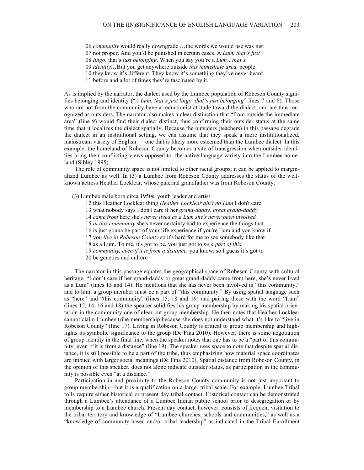06 *community* would really downgrade …the words we would use was just

07 not proper. And you'd be punished in certain cases. A *Lum, that's just*

08 *lingo*, that's *just belonging*. When you say you're a *Lum…that's*

09 *identity*…But you get anywhere outside *this immediate area,* people

10 they know it's different. They know it's something they've never heard

11 before and a lot of times they're fascinated by it.

As is implied by the narrator, the dialect used by the Lumbee population of Robeson County signifies belonging and identity ("*A Lum, that's just lingo, that's just belonging*" lines 7 and 8). Those who are not from the community have a reductionist attitude toward the dialect, and are thus recognized as outsiders. The narrator also makes a clear distinction that "from outside the immediate area" (line 9) would find their dialect distinct, thus confirming their outsider status at the same time that it localizes the dialect spatially. Because the outsiders (teachers) in this passage degrade the dialect in an institutional setting, we can assume that they speak a more institutionalized, mainstream variety of English — one that is likely more esteemed than the Lumbee dialect. In this example, the homeland of Robeson County becomes a site of transgression when outsider identities bring their conflicting views opposed to the native language variety into the Lumbee homeland (Sibley 1995).

The role of community space is not limited to other racial groups; it can be applied to marginalized Lumbee as well. In (3) a Lumbee from Robeson County addresses the status of the wellknown actress Heather Locklear, whose paternal grandfather was from Robeson County.

(3) Lumbee male born circa 1950s, youth leader and artist

12 this Heather Locklear thing *Heather Locklear ain't no Lum* I don't care

13 what nobody says I don't care if her *grand-daddy, great grand-daddy* 

14 *came from* here she's *never lived as a Lum she's never been involved* 

15 *in this community* she's never certainly had to experience the things that

16 is just gonna be part of your life experience if you're Lum and you know if

17 you *live in Robeson County* so it's hard for me to see somebody like that

18 as a Lum. To me, it's got to be, you just got to *be a part of this* 

19 *community, even if it is from a distance,* you know, so I guess it's got to

20 be genetics and culture

The narrator in this passage equates the geographical space of Robeson County with cultural heritage, "I don't care if her grand-daddy or great grand-daddy came from here, she's never lived as a Lum" (lines 13 and 14). He mentions that she has never been involved in "this community," and to him, a group member must be a part of "this community." By using spatial language such as "here" and "this community" (lines 15, 18 and 19) and pairing these with the word "Lum" (lines 12, 14, 16 and 18) the speaker solidifies his group membership by making his spatial orientation in the community one of clear-cut group membership. He then notes that Heather Locklear cannot claim Lumbee tribe membership because she does not understand what it's like to "live in Robeson County" (line 17). Living in Robeson County is critical to group membership and highlights its symbolic significance to the group (De Fina 2010). However, there is some negotiation of group identity in the final line, when the speaker notes that one has to be a "part of this community, even if it is from a distance" (line 19). The speaker uses space to note that despite spatial distance, it is still possible to be a part of the tribe, thus emphasizing how material space coordinates are imbued with larger social meanings (De Fina 2010). Spatial distance from Robeson County, in the opinion of this speaker, does not alone indicate outsider status, as participation in the community is possible even "at a distance."

Participation in and proximity to the Robeson County community is not just important to group membership—but it is a qualification on a larger tribal scale. For example, Lumbee Tribal rolls require either historical or present day tribal contact. Historical contact can be demonstrated through a Lumbee's attendance of a Lumbee Indian public school prior to desegregation or by membership to a Lumbee church. Present day contact, however, consists of frequent visitation to the tribal territory and knowledge of "Lumbee churches, schools and communities," as well as a "knowledge of community-based and/or tribal leadership" as indicated in the Tribal Enrollment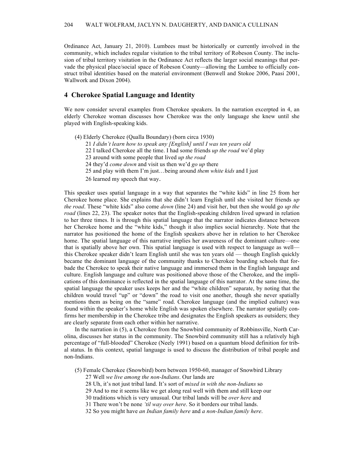Ordinance Act, January 21, 2010). Lumbees must be historically or currently involved in the community, which includes regular visitation to the tribal territory of Robeson County. The inclusion of tribal territory visitation in the Ordinance Act reflects the larger social meanings that pervade the physical place/social space of Robeson County—allowing the Lumbee to officially construct tribal identities based on the material environment (Benwell and Stokoe 2006, Paasi 2001, Wallwork and Dixon 2004).

#### **4 Cherokee Spatial Language and Identity**

We now consider several examples from Cherokee speakers. In the narration excerpted in 4, an elderly Cherokee woman discusses how Cherokee was the only language she knew until she played with English-speaking kids.

(4) Elderly Cherokee (Qualla Boundary) (born circa 1930) *I didn't learn how to speak any [English] until I was ten years old* I talked Cherokee all the time. I had some friends *up the road* we'd play around with some people that lived *up the road* they'd *come down* and visit us then we'd *go up* there and play with them I'm just…being around *them white kids* and I just learned my speech that way.

This speaker uses spatial language in a way that separates the "white kids" in line 25 from her Cherokee home place. She explains that she didn't learn English until she visited her friends *up the road*. These "white kids" also come *down* (line 24) and visit her, but then she would go *up the road* (lines 22, 23). The speaker notes that the English-speaking children lived upward in relation to her three times. It is through this spatial language that the narrator indicates distance between her Cherokee home and the "white kids," though it also implies social hierarchy. Note that the narrator has positioned the home of the English speakers above her in relation to her Cherokee home. The spatial language of this narrative implies her awareness of the dominant culture—one that is spatially above her own. This spatial language is used with respect to language as well this Cherokee speaker didn't learn English until she was ten years old — though English quickly became the dominant language of the community thanks to Cherokee boarding schools that forbade the Cherokee to speak their native language and immersed them in the English language and culture. English language and culture was positioned above those of the Cherokee, and the implications of this dominance is reflected in the spatial language of this narrator. At the same time, the spatial language the speaker uses keeps her and the "white children" separate, by noting that the children would travel "up" or "down" the road to visit one another, though she never spatially mentions them as being on the "same" road. Cherokee language (and the implied culture) was found within the speaker's home while English was spoken elsewhere. The narrator spatially confirms her membership in the Cherokee tribe and designates the English speakers as outsiders; they are clearly separate from each other within her narrative.

In the narration in (5), a Cherokee from the Snowbird community of Robbinsville, North Carolina, discusses her status in the community. The Snowbird community still has a relatively high percentage of "full-blooded" Cherokee (Neely 1991) based on a quantum blood definition for tribal status. In this context, spatial language is used to discuss the distribution of tribal people and non-Indians.

(5) Female Cherokee (Snowbird) born between 1950-60, manager of Snowbird Library

27 Well *we live among the non-Indians*. Our lands are

28 Uh, it's not just tribal land. It's sort of *mixed in with the non-Indians* so

29 And to me it seems like we get along real well with them and still keep our

30 traditions which is very unusual. Our tribal lands will be *over here* and

31 There won't be none *'til way over here*. So it borders our tribal lands.

32 So you might have *an Indian family here* and *a non-Indian family here*.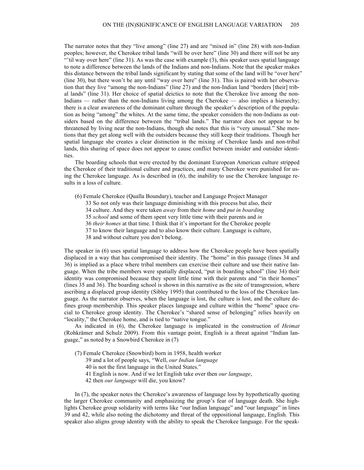The narrator notes that they "live among" (line 27) and are "mixed in" (line 28) with non-Indian peoples; however, the Cherokee tribal lands "will be over here" (line 30) and there will not be any "'til way over here" (line 31). As was the case with example  $(3)$ , this speaker uses spatial language to note a difference between the lands of the Indians and non-Indians. Note that the speaker makes this distance between the tribal lands significant by stating that some of the land will be "over here" (line 30), but there won't be any until "way over here" (line 31). This is paired with her observation that they live "among the non-Indians" (line 27) and the non-Indian land "borders [their] tribal lands" (line 31). Her choice of spatial deictics to note that the Cherokee live among the non-Indians — rather than the non-Indians living among the Cherokee — also implies a hierarchy; there is a clear awareness of the dominant culture through the speaker's description of the population as being "among" the whites. At the same time, the speaker considers the non-Indians as outsiders based on the difference between the "tribal lands." The narrator does not appear to be threatened by living near the non-Indians, though she notes that this is "very unusual." She mentions that they get along well with the outsiders because they still keep their traditions. Though her spatial language she creates a clear distinction in the mixing of Cherokee lands and non-tribal lands, this sharing of space does not appear to cause conflict between insider and outsider identities.

The boarding schools that were erected by the dominant European American culture stripped the Cherokee of their traditional culture and practices, and many Cherokee were punished for using the Cherokee language. As is described in (6), the inability to use the Cherokee language results in a loss of culture.

- (6) Female Cherokee (Qualla Boundary), teacher and Language Project Manager
	- 33 So not only was their language diminishing with this process but also, their
	- 34 culture. And they were taken *away* from their *home* and *put in boarding*
	- 35 *school* and some of them spent very little time with their parents and *in*
	- 36 *their homes* at that time. I think that it's important for the Cherokee people
	- 37 to know their language and to also know their culture. Language is culture,
	- 38 and without culture you don't belong.

The speaker in (6) uses spatial language to address how the Cherokee people have been spatially displaced in a way that has compromised their identity. The "home" in this passage (lines 34 and 36) is implied as a place where tribal members can exercise their culture and use their native language. When the tribe members were spatially displaced, "put in boarding school" (line 34) their identity was compromised because they spent little time with their parents and "in their homes" (lines 35 and 36). The boarding school is shown in this narrative as the site of transgression, where ascribing a displaced group identity (Sibley 1995) that contributed to the loss of the Cherokee language. As the narrator observes, when the language is lost, the culture is lost, and the culture defines group membership. This speaker places language and culture within the "home" space crucial to Cherokee group identity. The Cherokee's "shared sense of belonging" relies heavily on "locality," the Cherokee home, and is tied to "native tongue."

As indicated in (6), the Cherokee language is implicated in the construction of *Heimat* (Rohkrämer and Schulz 2009). From this vantage point, English is a threat against "Indian language," as noted by a Snowbird Cherokee in (7)

- (7) Female Cherokee (Snowbird) born in 1958, health worker
	- 39 and a lot of people says, "Well, *our Indian language*
	- 40 is not the first language in the United States."
	- 41 English is now. And if we let English take over then *our language*,
	- 42 then *our language* will die, you know?

In (7), the speaker notes the Cherokee's awareness of language loss by hypothetically quoting the larger Cherokee community and emphasizing the group's fear of language death. She highlights Cherokee group solidarity with terms like "our Indian language" and "our language" in lines 39 and 42, while also noting the dichotomy and threat of the oppositional language, English. This speaker also aligns group identity with the ability to speak the Cherokee language. For the speak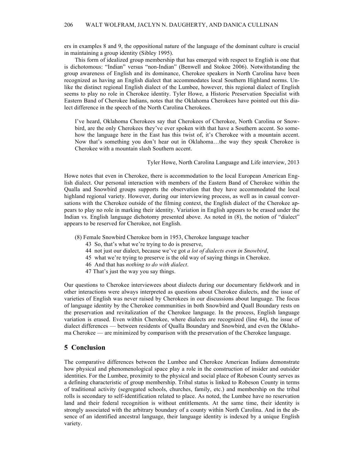ers in examples 8 and 9, the oppositional nature of the language of the dominant culture is crucial in maintaining a group identity (Sibley 1995).

This form of idealized group membership that has emerged with respect to English is one that is dichotomous: "Indian" versus "non-Indian" (Benwell and Stokoe 2006). Notwithstanding the group awareness of English and its dominance, Cherokee speakers in North Carolina have been recognized as having an English dialect that accommodates local Southern Highland norms. Unlike the distinct regional English dialect of the Lumbee, however, this regional dialect of English seems to play no role in Cherokee identity. Tyler Howe, a Historic Preservation Specialist with Eastern Band of Cherokee Indians, notes that the Oklahoma Cherokees have pointed out this dialect difference in the speech of the North Carolina Cherokees.

I've heard, Oklahoma Cherokees say that Cherokees of Cherokee, North Carolina or Snowbird, are the only Cherokees they've ever spoken with that have a Southern accent. So somehow the language here in the East has this twist of, it's Cherokee with a mountain accent. Now that's something you don't hear out in Oklahoma…the way they speak Cherokee is Cherokee with a mountain slash Southern accent.

#### Tyler Howe, North Carolina Language and Life interview, 2013

Howe notes that even in Cherokee, there is accommodation to the local European American English dialect. Our personal interaction with members of the Eastern Band of Cherokee within the Qualla and Snowbird groups supports the observation that they have accommodated the local highland regional variety. However, during our interviewing process, as well as in casual conversations with the Cherokee outside of the filming context, the English dialect of the Cherokee appears to play no role in marking their identity. Variation in English appears to be erased under the Indian vs. English language dichotomy presented above. As noted in (8), the notion of "dialect" appears to be reserved for Cherokee, not English.

- (8) Female Snowbird Cherokee born in 1953, Cherokee language teacher
	- 43 So, that's what we're trying to do is preserve,
	- 44 not just our dialect, because we've got *a lot of dialects even in Snowbird*,
	- 45 what we're trying to preserve is the old way of saying things in Cherokee.
	- 46 And that has *nothing to do with dialect*.
	- 47 That's just the way you say things.

Our questions to Cherokee interviewees about dialects during our documentary fieldwork and in other interactions were always interpreted as questions about Cherokee dialects, and the issue of varieties of English was never raised by Cherokees in our discussions about language. The focus of language identity by the Cherokee communities in both Snowbird and Quall Boundary rests on the preservation and revitalization of the Cherokee language. In the process, English language variation is erased. Even within Cherokee, where dialects are recognized (line 44), the issue of dialect differences — between residents of Qualla Boundary and Snowbird, and even the Oklahoma Cherokee — are minimized by comparison with the preservation of the Cherokee language.

#### **5 Conclusion**

The comparative differences between the Lumbee and Cherokee American Indians demonstrate how physical and phenomenological space play a role in the construction of insider and outsider identities. For the Lumbee, proximity to the physical and social place of Robeson County serves as a defining characteristic of group membership. Tribal status is linked to Robeson County in terms of traditional activity (segregated schools, churches, family, etc.) and membership on the tribal rolls is secondary to self-identification related to place. As noted, the Lumbee have no reservation land and their federal recognition is without entitlements. At the same time, their identity is strongly associated with the arbitrary boundary of a county within North Carolina. And in the absence of an identified ancestral language, their language identity is indexed by a unique English variety.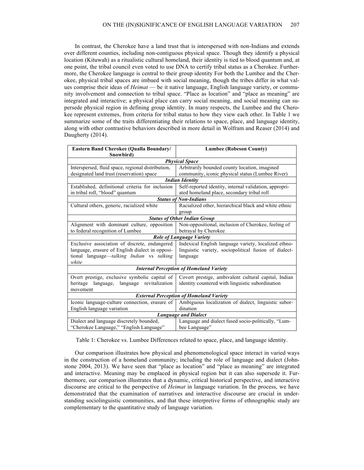In contrast, the Cherokee have a land trust that is interspersed with non-Indians and extends over different counties, including non-contiguous physical space. Though they identify a physical location (Kituwah) as a ritualistic cultural homeland, their identity is tied to blood quantum and, at one point, the tribal council even voted to use DNA to certify tribal status as a Cherokee. Furthermore, the Cherokee language is central to their group identity For both the Lumbee and the Cherokee, physical tribal spaces are imbued with social meaning, though the tribes differ in what values comprise their ideas of *Heimat* — be it native language, English language variety, or community involvement and connection to tribal space. "Place as location" and "place as meaning" are integrated and interactive; a physical place can carry social meaning, and social meaning can supersede physical region in defining group identity. In many respects, the Lumbee and the Cherokee represent extremes, from criteria for tribal status to how they view each other. In Table 1 we summarize some of the traits differentiating their relations to space, place, and language identity, along with other contrastive behaviors described in more detail in Wolfram and Reaser (2014) and Daugherty (2014).

| Eastern Band Cherokee (Qualla Boundary/           | <b>Lumbee (Robeson County)</b>                         |
|---------------------------------------------------|--------------------------------------------------------|
| Snowbird)                                         |                                                        |
| <b>Physical Space</b>                             |                                                        |
| Interspersed, fluid space, regional distribution, | Arbitrarily bounded county location, imagined          |
| designated land trust (reservation) space         | community, iconic physical status (Lumbee River)       |
| <b>Indian Identity</b>                            |                                                        |
| Established, definitional criteria for inclusion  | Self-reported identity, internal validation, appropri- |
| in tribal roll, "blood" quantum                   | ated homeland place, secondary tribal roll             |
| <b>Status of Non-Indians</b>                      |                                                        |
| Cultural others, generic, racialized white        | Racialized other, hierarchical black and white ethnic  |
|                                                   | group                                                  |
| <b>Status of Other Indian Group</b>               |                                                        |
| Alignment with dominant culture, opposition       | Non-oppositional, inclusion of Cherokee, feeling of    |
| to federal recognition of Lumbee                  | betrayal by Cherokee                                   |
| <b>Role of Language Variety</b>                   |                                                        |
| Exclusive association of discrete, endangered     | Indexical English language variety, localized ethno-   |
| language, erasure of English dialect in opposi-   | linguistic variety, sociopolitical fusion of dialect-  |
| tional language-talking Indian vs talking         | language                                               |
| white                                             |                                                        |
| <b>Internal Perception of Homeland Variety</b>    |                                                        |
| Overt prestige, exclusive symbolic capital of     | Covert prestige, ambivalent cultural capital, Indian   |
| heritage<br>language revitalization<br>language,  | identity countered with linguistic subordination       |
| movement                                          |                                                        |
| <b>External Perception of Homeland Variety</b>    |                                                        |
| Iconic language-culture connection, erasure of    | Ambiguous localization of dialect, linguistic subor-   |
| English language variation                        | dination                                               |
| <b>Language and Dialect</b>                       |                                                        |
| Dialect and language discretely bounded,          | Language and dialect fused socio-politically, "Lum-    |
| "Cherokee Language," "English Language"           | bee Language"                                          |

Table 1: Cherokee vs. Lumbee Differences related to space, place, and language identity.

Our comparison illustrates how physical and phenomenological space interact in varied ways in the construction of a homeland community; including the role of language and dialect (Johnstone 2004, 2013). We have seen that "place as location" and "place as meaning" are integrated and interactive. Meaning may be emplaced in physical region but it can also supersede it. Furthermore, our comparison illustrates that a dynamic, critical historical perspective, and interactive discourse are critical to the perspective of *Heimat* in language variation. In the process, we have demonstrated that the examination of narratives and interactive discourse are crucial in understanding sociolinguistic communities, and that these interpretive forms of ethnographic study are complementary to the quantitative study of language variation.